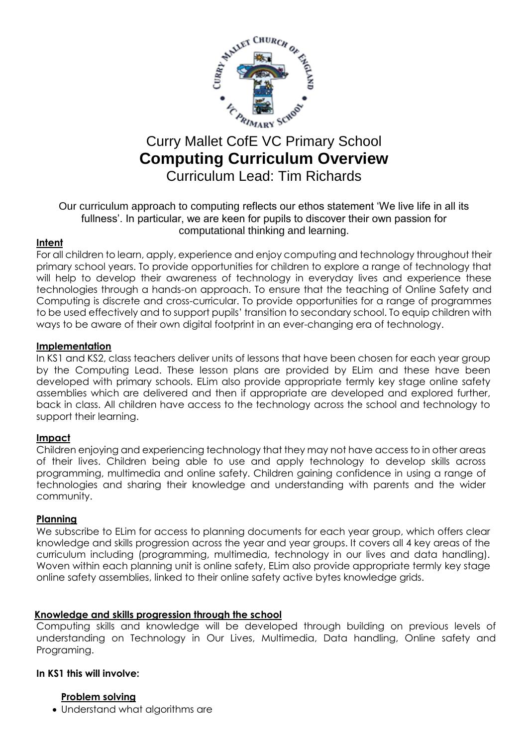

## Curry Mallet CofE VC Primary School **Computing Curriculum Overview** Curriculum Lead: Tim Richards

## Our curriculum approach to computing reflects our ethos statement 'We live life in all its fullness'. In particular, we are keen for pupils to discover their own passion for computational thinking and learning.

#### **Intent**

For all children to learn, apply, experience and enjoy computing and technology throughout their primary school years. To provide opportunities for children to explore a range of technology that will help to develop their awareness of technology in everyday lives and experience these technologies through a hands-on approach. To ensure that the teaching of Online Safety and Computing is discrete and cross-curricular. To provide opportunities for a range of programmes to be used effectively and to support pupils' transition to secondary school. To equip children with ways to be aware of their own digital footprint in an ever-changing era of technology.

#### **Implementation**

In KS1 and KS2, class teachers deliver units of lessons that have been chosen for each year group by the Computing Lead. These lesson plans are provided by ELim and these have been developed with primary schools. ELim also provide appropriate termly key stage online safety assemblies which are delivered and then if appropriate are developed and explored further, back in class. All children have access to the technology across the school and technology to support their learning.

#### **Impact**

Children enjoying and experiencing technology that they may not have access to in other areas of their lives. Children being able to use and apply technology to develop skills across programming, multimedia and online safety. Children gaining confidence in using a range of technologies and sharing their knowledge and understanding with parents and the wider community.

#### **Planning**

We subscribe to ELim for access to planning documents for each year group, which offers clear knowledge and skills progression across the year and year groups. It covers all 4 key areas of the curriculum including (programming, multimedia, technology in our lives and data handling). Woven within each planning unit is online safety, ELim also provide appropriate termly key stage online safety assemblies, linked to their online safety active bytes knowledge grids.

#### **Knowledge and skills progression through the school**

Computing skills and knowledge will be developed through building on previous levels of understanding on Technology in Our Lives, Multimedia, Data handling, Online safety and Programing.

#### **In KS1 this will involve:**

#### **Problem solving**

Understand what algorithms are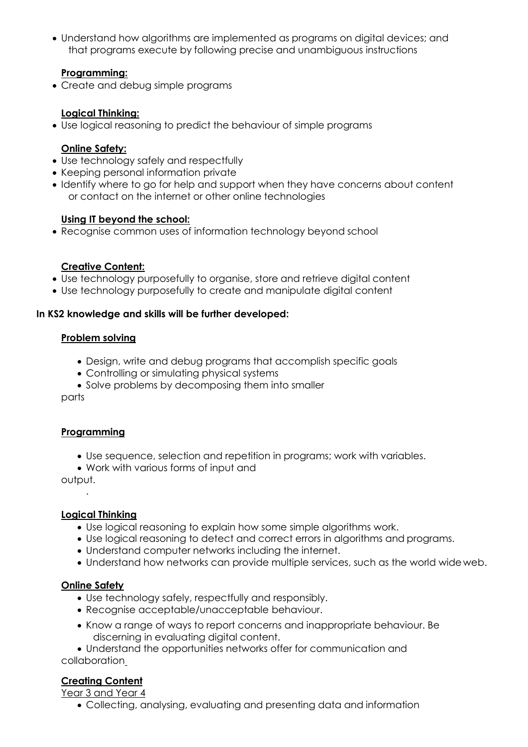Understand how algorithms are implemented as programs on digital devices; and that programs execute by following precise and unambiguous instructions

## **Programming:**

Create and debug simple programs

## **Logical Thinking:**

Use logical reasoning to predict the behaviour of simple programs

## **Online Safety:**

- Use technology safely and respectfully
- Keeping personal information private
- Identify where to go for help and support when they have concerns about content or contact on the internet or other online technologies

#### **Using IT beyond the school:**

• Recognise common uses of information technology beyond school

#### **Creative Content:**

- Use technology purposefully to organise, store and retrieve digital content
- Use technology purposefully to create and manipulate digital content

#### **In KS2 knowledge and skills will be further developed:**

#### **Problem solving**

- Design, write and debug programs that accomplish specific goals
- Controlling or simulating physical systems
- Solve problems by decomposing them into smaller

parts

#### **Programming**

- Use sequence, selection and repetition in programs; work with variables.
- Work with various forms of input and

output.

# **Logical Thinking**

.

- Use logical reasoning to explain how some simple algorithms work.
- Use logical reasoning to detect and correct errors in algorithms and programs.
- Understand computer networks including the internet.
- Understand how networks can provide multiple services, such as the world wide web.

#### **Online Safety**

- Use technology safely, respectfully and responsibly.
- Recognise acceptable/unacceptable behaviour.
- Know a range of ways to report concerns and inappropriate behaviour. Be discerning in evaluating digital content.
- Understand the opportunities networks offer for communication and collaboration

#### **Creating Content**

Year 3 and Year 4

Collecting, analysing, evaluating and presenting data and information